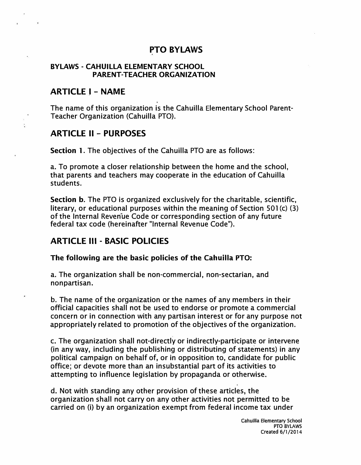### **PTO BYLAWS**

#### **BYLAWS - CAHUILLA ELEMENTARY SCHOOL PARENT-TEACHER ORGANIZATION**

#### **ARTICLE I - NAME**

The name of this organization is the Cahuilla Elementary School Parent-Teacher Organization (Cahuilla PTO).

#### **ARTICLE II - PURPOSES**

**Section 1.** The objectives of the Cahuilla PTO are as follows:

a. To promote a closer relationship between the home and the school, that parents and teachers may cooperate in the education of Cahuilla students.

**Section b.** The PTO is organized exclusively for the charitable, scientific, literary, or educational purposes within the meaning of Section 501 (c) (3) of the Internal Revenue Code or corresponding section of any future federal tax code (hereinafter "Internal Revenue Code").

### **ARTICLE Ill - BASIC POLICIES**

#### **The following are the basic policies of the Cahuilla PTO:**

a. The organization shall be non-commercial, non-sectarian, and nonpartisan.

b. The name of the organization or the names of any members in their official capacities shall not be used to endorse or promote a commercial concern or in connection with any partisan interest or for any purpose not appropriately related to promotion of the objectives of the organization.

c. The organization shall not-directly or indirectly-participate or intervene (in any way, including the publishing or distributing of statements) in any political campaign on behalf of, or in opposition to, candidate for public office; or devote more than an insubstantial part of its activities to attempting to influence legislation by propaganda or otherwise.

d. Not with standing any other provision of these articles, the organization shall not carry on any other activities not permitted to be carried on (i) by an organization exempt from federal income tax under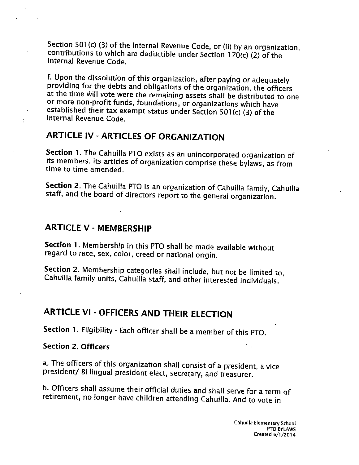Section 501(c) (3) of the Internal Revenue Code, or (ii) by an organization, contributions to which are deductible under Section 170(c) (2) of the Internal Revenue Code.

f. Upon the dissolution of this organization, after paying or adequately providing for the debts and obligations of the organization, the officers at the time will vote were the remaining assets shall be distributed to one or more non-profit funds, foundations, or organizations which have established their tax exempt status under Section 501(c) (3) of the Internal Revenue Code.

## **ARTICLE IV - ARTICLES OF ORGANIZATION**

Section 1. The Cahuilla PTO exists as an unincorporated organization of its members. Its articles of organization comprise these bylaws, as from time to time amended.

Section 2. The Cahuilla PTO is an organization of Cahuilla family, Cahuilla staff, and the board of directors report to the general organization.

### **ARTICLE V - MEMBERSHIP**

Section 1. Membership in this PTO shall be made available without regard to race, sex, color, creed or national origin.

Section 2. Membership categories shall include, but not be limited to, Cahuilla family units, Cahuilla staff, and other interested individuals.

# **ARTICLE VI - OFFICERS AND THEIR ELECTION**

Section 1. Eligibility - Each officer shall be a member of this PTO.

### **Section 2. Officers**

a. The officers of this organization shall consist of a president, a vice president/ Bi-lingual president elect, secretary, and treasurer.

b. Officers shall assume their official duties and shall serve for a term of retirement, no longer have children attending Cahuilla. And to vote in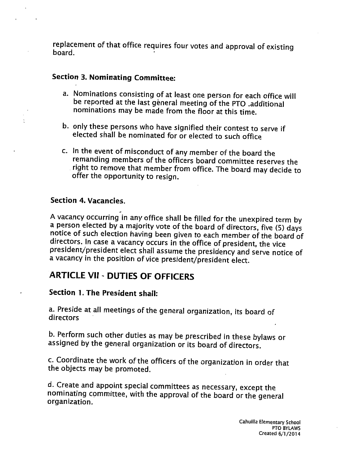replacement of that office requires four votes and approval of existing board.

### **Section 3. Nominating Committee:**

- a. Nominations consisting of at least one person for each office will be reported at the last general meeting of the PTO .additional nominations may be made from the floor at this time.
- b. only these persons who have signified their contest to serve if elected shall be nominated for or elected to such office
- c. In the event of misconduct of any member of the board the remanding members of the officers board committee reserves the right to remove that member from office. The board may decide to offer the opportunity to resign.

#### Section 4. Vacancies.

A vacancy occurring in any office shall be filled for the unexpired term by a person elected by a majority vote of the board of directors, five (5) days notice of such election having been given to each member of the board of directors. In case a vacancy occurs in the office of president, the vice president/president elect shall assume the presidency and serve notice of a vacancy in the position of vice president/president elect.

## **ARTICLE VII - DUTIES OF OFFICERS**

### **Section 1. The President shall:**

a. Preside at all meetings of the general organization, its board of directors

b. Perform such other duties as may be prescribed in these bylaws or assigned by the general organization or its board of directors.

c. Coordinate the work of the officers of the organization in order that the objects may be promoted.

d. Create and appoint special committees as necessary, except the nominating committee, with the approval of the board or the general organization.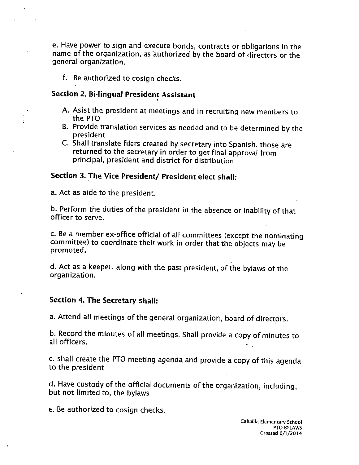e. Have power to sign and execute bonds, contracts or obligations in the name of the organization, as authorized by the board of directors or the general organization.

f. Be authorized to cosign checks.

#### Section 2. Bi-lingual President Assistant

- A. Asist the president at meetings and in recruiting new members to the PTO
- B. Provide translation services as needed and to be determined by the president
- C. Shall translate filers created by secretary into Spanish. those are returned to the secretary in order to get final approval from principal, president and district for distribution

### Section 3. The Vice President/ President elect shall:

a. Act as aide to the president.

b. Perform the duties of the president in the absence or inability of that officer to serve.

c. Be a member ex-office official of all committees (except the nominating committee) to coordinate their work in order that the objects may be promoted.

d. Act as a keeper, along with the past president, of the bylaws of the organization.

#### Section 4. The Secretary shall:

a. Attend all meetings of the general organization, board of directors.

b. Record the minutes of all meetings. Shall provide a copy of minutes to all officers.

c. shall create the PTO meeting agenda and provide a copy of this agenda to the president

d. Have custody of the official documents of the organization, including, but not limited to, the bylaws

e. Be authorized to cosign checks.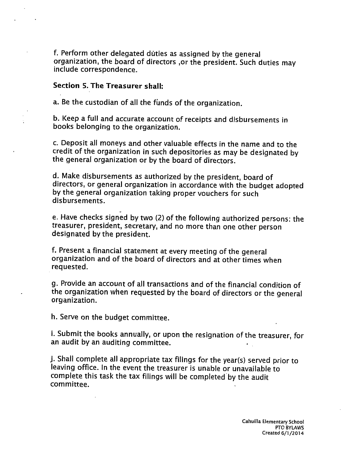f. Perform other delegated duties as assigned by the general organization, the board of directors ,or the president. Such duties may include correspondence.

#### Section 5. The Treasurer shall:

a. Be the custodian of all the funds of the organization.

b. Keep a full and accurate account of receipts and disbursements in books belonging to the organization.

c. Deposit all moneys and other valuable effects in the name and to the credit of the organization in such depositories as may be designated by the general organization or by the board of directors.

d. Make disbursements as authorized by the president, board of directors, or general organization in accordance with the budget adopted by the general organization taking proper vouchers for such disbursements.

e. Have checks signed by two (2) of the following authorized persons: the treasurer, president, secretary, and no more than one other person designated by the president.

f. Present a financial statement at every meeting of the general organization and of the board of directors and at other times when requested.

g. Provide an account of all transactions and of the financial condition of the organization when requested by the board of directors or the general organization.

h. Serve on the budget committee.

i. Submit the books annually, or upon the resignation of the treasurer, for an audit by an auditing committee.

j. Shall complete all appropriate tax filings for the year(s) served prior to leaving office. In the event the treasurer is unable or unavailable to complete this task the tax filings will be completed by the audit committee.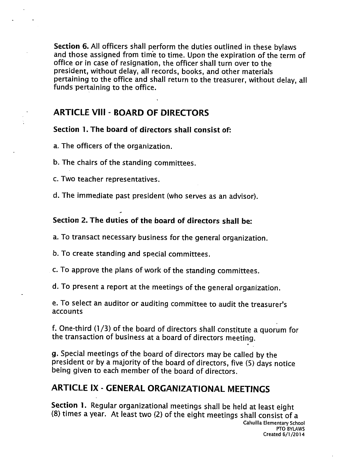Section 6. All officers shall perform the duties outlined in these bylaws and those assigned from time to time. Upon the expiration of the term of office or in case of resignation, the officer shall turn over to the president, without delay, all records, books, and other materials pertaining to the office and shall return to the treasurer, without delay, all funds pertaining to the office.

### **ARTICLE VIII - BOARD OF DIRECTORS**

#### Section 1. The board of directors shall consist of:

a. The officers of the organization.

b. The chairs of the standing committees.

c. Two teacher representatives.

d. The immediate past president (who serves as an advisor).

### Section 2. The duties of the board of directors shall be:

a. To transact necessary business for the general organization.

b. To create standing and special committees.

c. To approve the plans of work of the standing committees.

d. To present a report at the meetings of the general organization.

e. To select an auditor or auditing committee to audit the treasurer's **accounts** 

f. One-third (1/3) of the board of directors shall constitute a quorum for the transaction of business at a board of directors meeting.

g. Special meetings of the board of directors may be called by the president or by a majority of the board of directors, five (5) days notice being given to each member of the board of directors.

## **ARTICLE IX - GENERAL ORGANIZATIONAL MEETINGS**

Section 1. Regular organizational meetings shall be held at least eight (8) times a year. At least two (2) of the eight meetings shall consist of a Cahuilla Elementary School PTO BYLAWS Created 6/1/2014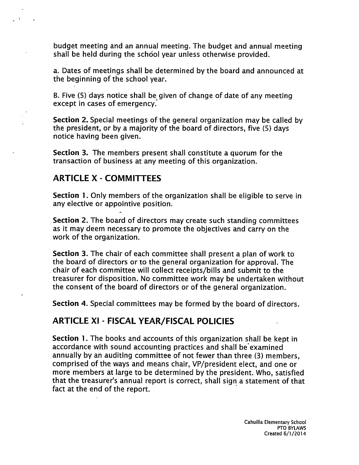budget meeting and an annual meeting. The budget and annual meeting shall be held during the school year unless otherwise provided.

a. Dates of meetings shall be determined by the board and announced at the beginning of the school year.

B. Five (5) days notice shall be given of change of date of any meeting except in cases of emergency.

Section 2. Special meetings of the general organization may be called by the president, or by a majority of the board of directors, five (5) days notice having been given.

Section 3. The members present shall constitute a quorum for the transaction of business at any meeting of this organization.

### **ARTICLE X - COMMITTEES**

 $\mathcal{L}$ 

**Section 1.** Only members of the organization shall be eligible to serve in any elective or appointive position.

Section 2. The board of directors may create such standing committees as it may deem necessary to promote the objectives and carry on the work of the organization.

Section 3. The chair of each committee shall present a plan of work to the board of directors or to the general organization for approval. The chair of each committee will collect receipts/bills and submit to the treasurer for disposition. No committee work may be undertaken without the consent of the board of directors or of the general organization.

Section 4. Special committees may be formed by the board of directors.

### **ARTICLE XI - FISCAL YEAR/FISCAL POLICIES**

**Section 1.** The books and accounts of this organization shall be kept in accordance with sound accounting practices and shall be examined annually by an auditing committee of not fewer than three (3) members, comprised of the ways and means chair, VP/president elect, and one or more members at large to be determined by the president. Who, satisfied that the treasurer's annual report is correct, shall sign a statement of that fact at the end of the report.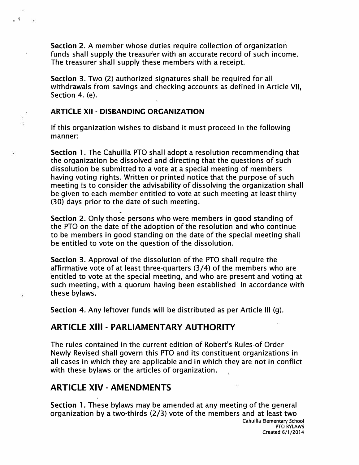**Section 2.** A member whose duties require collection of organization funds shall supply the treasurer with an accurate record of such income. The treasurer shall supply these members with a receipt.

**Section 3.** Two (2) authorized signatures shall be required for all withdrawals from savings and checking accounts as defined in Article VII, Section 4. (e).

#### **ARTICLE XII · DISBANDING ORGANIZATION**

 $\ddot{\bullet}$ 

If this organization wishes to disband it must proceed in the following manner:

**Section 1.** The Cahuilla PTO shall adopt a resolution recommending that the organization be dissolved and directing that the questions of such dissolution be submitted to a vote at a special meeting of members having voting rights. Written or printed notice that the purpose of such meeting is to consider the advisability of dissolving the organization shall be given to each member entitled to vote at such meeting at least thirty (30) days prior to the date of such meeting. .<br>-

**Section 2.** Only those persons who were members in good standing of the PTO on the date of the adoption of the resolution and who continue to be members in good standing on the date of the special meeting shall be entitled to vote on the question of the dissolution.

**Section 3.** Approval of the dissolution of the PTO shall require the affirmative vote of at least three-quarters (3/4) of the members who are entitled to vote at the special meeting, and who are present and voting at such meeting, with a quorum having been established in accordance with these bylaws.

**Section 4.** Any leftover funds will be distributed as per Article Ill (g).

### **ARTICLE XIII - PARLIAMENTARY AUTHORITY**

The rules contained in the current edition of Robert's Rules.of Order Newly Revised shall govern this PTO and its constituent organizations in all cases in which they are applicable and in which they are not in conflict with these bylaws or the articles of organization.

### **ARTICLE XIV - AMENDMENTS**

**Section** 1. These bylaws may be amended at any meeting of the general organization by a two-thirds (2/3) vote of the members and at least two **Cahuilla Elementary School**  PTO BYLAWS **Created 6/1/2014**